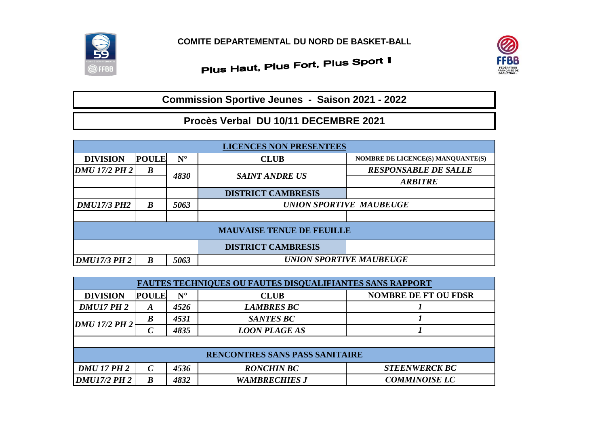

## Plus Haut, Plus Fort, Plus Sport I



**Commission Sportive Jeunes - Saison 2021 - 2022**

## **Procès Verbal DU 10/11 DECEMBRE 2021**

| <b>LICENCES NON PRESENTEES</b>   |                  |             |                                |                                   |  |  |  |  |
|----------------------------------|------------------|-------------|--------------------------------|-----------------------------------|--|--|--|--|
| <b>DIVISION</b>                  | <b>POULE</b>     | $N^{\circ}$ | <b>CLUB</b>                    | NOMBRE DE LICENCE(S) MANQUANTE(S) |  |  |  |  |
| <b>DMU 17/2 PH 2</b>             | $\boldsymbol{B}$ | 4830        | <b>SAINT ANDRE US</b>          | <b>RESPONSABLE DE SALLE</b>       |  |  |  |  |
|                                  |                  |             |                                | <b>ARBITRE</b>                    |  |  |  |  |
|                                  |                  |             | <b>DISTRICT CAMBRESIS</b>      |                                   |  |  |  |  |
| <b>DMU17/3 PH2</b>               | $\boldsymbol{B}$ | 5063        | <b>UNION SPORTIVE MAUBEUGE</b> |                                   |  |  |  |  |
|                                  |                  |             |                                |                                   |  |  |  |  |
| <b>MAUVAISE TENUE DE FEUILLE</b> |                  |             |                                |                                   |  |  |  |  |
|                                  |                  |             | <b>DISTRICT CAMBRESIS</b>      |                                   |  |  |  |  |
| <b>DMU17/3 PH 2</b>              | B                | 5063        | <b>UNION SPORTIVE MAUBEUGE</b> |                                   |  |  |  |  |

| <b>FAUTES TECHNIQUES OU FAUTES DISQUALIFIANTES SANS RAPPORT</b> |                  |                      |                      |                             |  |  |  |  |
|-----------------------------------------------------------------|------------------|----------------------|----------------------|-----------------------------|--|--|--|--|
| <b>DIVISION</b>                                                 | <b>POULE</b>     | $\mathbf{N}^{\circ}$ | <b>CLUB</b>          | <b>NOMBRE DE FT OU FDSR</b> |  |  |  |  |
| <b>DMU17 PH 2</b>                                               | A                | 4526                 | <b>LAMBRES BC</b>    |                             |  |  |  |  |
| <b>DMU 17/2 PH 2</b>                                            | B                | 4531                 | <b>SANTES BC</b>     |                             |  |  |  |  |
|                                                                 | $\mathcal C$     | 4835                 | <b>LOON PLAGE AS</b> |                             |  |  |  |  |
|                                                                 |                  |                      |                      |                             |  |  |  |  |
| <b>RENCONTRES SANS PASS SANITAIRE</b>                           |                  |                      |                      |                             |  |  |  |  |
| <b>DMU 17 PH 2</b>                                              | $\mathcal{C}$    | 4536                 | <b>RONCHIN BC</b>    | <b>STEENWERCK BC</b>        |  |  |  |  |
| <b>DMU17/2 PH 2</b>                                             | $\boldsymbol{B}$ | 4832                 | <b>WAMBRECHIES J</b> | <b>COMMINOISE LC</b>        |  |  |  |  |